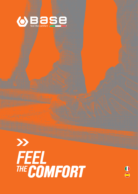



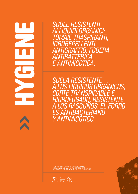142 HYGIENE



*SUOLE RESISTENTI AI LIQUIDI ORGANICI; TOMAIE TRASPIRANTI, IDROREPELLENTI, ANTIGRAFFIO; FODERA ANTIBATTERICA E ANTIMICOTICA.*

*SUELA RESISTENTE A LOS LÍQUIDOS ORGÁNICOS; CORTE TRANSPIRABLE E HIDROFUGADO, RESISTENTE A LOS RASGUÑOS. EL FORRO ES ANTIBACTERIANO Y ANTIMICÓTICO.*

SETTORI DI LAVORO CONSIGLIATI / ORES DE TRABAJO RECOMENDADOS

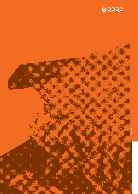

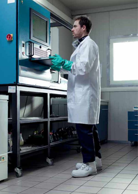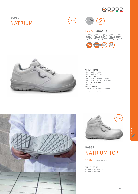

#### B0980 NATRIUM









TOMAIA / CORTE .JDSPmCSBJESPSFQFMMFOUF Microfibra hidrofugada FODERA / FORRO SmellStop antiodore e antibatterica\* SmellStop antiolor y antibacteriano\* PUNTALE / PUNTERA SlimCap

SUOLA / SUELA Defaticante AirTech monodensità Antifatiga AirTech PU





### B0981 NATRIUM TOP

S2 SRC | Sizes: 36-48

TOMAIA / CORTE Microfibra Idrorepellente Microfibra hidrofugada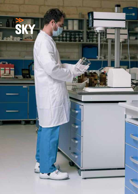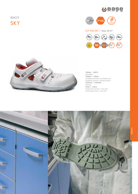









TOMAIA / CORTE Microfibra FODERA / FORRO SmellStop antiodore e antibatterica\* SmellStop antiolor y antibacteriano\* PUNTALE / PUNTERA SlimCap SUOLA / SUELA

Defaticante AirTech + Tpu-Skin Antifatiga AirTech + Tpu-Skin

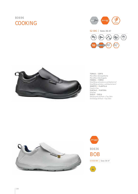### B0696 **COOKING**





TOMAIA / CORTE Microfibra Idrorepellente Microfibra hidrofugada FODERA / FORRO SmellStop antiodore e antibatterica\* SmellStop antiolor y antibacteriano\* INSERTO / PLANTILLA Fresh'n Flex PUNTALE / PUNTERA SlimCap SUOLA / SUELA Defaticante AirTech + Tpu-Skin Antifatiga AirTech + Tpu-Skin





A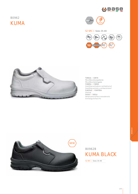

### B0962 **KUMA**



tpu-fkin<sup>®</sup>



TOMAIA / CORTE Microfibra Idrorepellente Microfibra hidrofugada FODERA / FORRO SmellStop antiodore e antibatterica\* SmellStop antiolor y antibacteriano\* PUNTALE / PUNTERA SlimCap

SUOLA / SUELA Defaticante AirTech monodensità Antifatiga AirTech PU



# B0962B KUMA BLACK

S2 SRC | Sizes: 35-48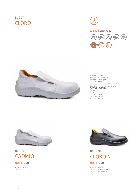## B0507 CLORO





TOMAIA / CORTE Microfibra idrorepellente Microfibra hidrofugada FODERA / FORRO SmellStop antiodore e antibatterica\* SmellStop antiolor y antibacteriano\* PUNTALE / PUNTERA Acciaio Acero SUOLA / SUELA Defaticante AirTech Antifatiga AirTech



B0509 CADMIO

S1 SRC | Sizes: 35-48

TOMAIA / CORTE Microfibra



## B0507N CLORO N

S2 SRC | Sizes: 36-48

TOMAIA / CORTE Microfibra idrorepellente Microfibra hidrofugada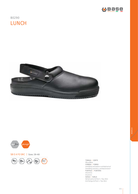

#### B0290 **LUNCH**





TOMAIA / CORTE Microfibra FODERA / FORRO SmellStop antiodore e antibatterica\* SmellStop antiolor y antibacteriano\* PUNTALE / PUNTERA Alluminio Aluminio SUOLA / SUELA Defaticante AirTech + Tpu-Skin Antifatiga AirTech + Tpu-Skin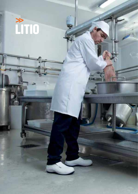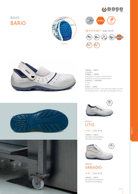

### B0535 BARIO







TOMAIA / CORTE Microfibra FODERA / FORRO SmellStop antiodore e antibatterica\* SmellStop antiolor y antibacteriano\* PUNTALE / PUNTERA Acciaio Acero

SUOLA / SUELA Defaticante AirTech + Tpu-Skin Tecnologia Life Plus Antifatiga AirTech + Tpu-Skin Tecnologĺa Life Plus









S2 SRC | Sizes: 35-48

TOMAIA / CORTE Microfibra idrorepellente Microfibra hidrofugada



#### B0540 VANADIO

S2 SRC | Sizes: 35-48

TOMAIA / CORTE Microfibra idrorepellente Microfibra hidrofugada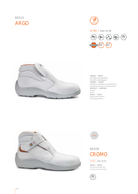### B0510 ARGO





TOMAIA / CORTE Microfibra Idrorepellente Microfibra hidrofugada FODERA / FORRO SmellStop antiodore e antibatterica\* SmellStop antiolor y antibacteriano\* PUNTALE / PUNTERA Acciaio Acero SUOLA / SUELA Defaticante AirTech Antifatiga AirTech





### B0508 **CROMO**

S2 SRC | Sizes: 36-48

SUOLA / SUELA Sticking monodensità Sticking monodensidad

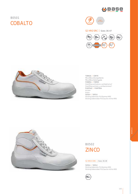

### B0501 **COBALTO**



#### S2 HRO SRC | Sizes: 36-47





#### TOMAIA / CORTE Microfibra Idrorepellente Microfibra hidrofugada FODERA / FORRO SmellStop antiodore e antibatterica\* SmellStop antiolor y antibacteriano\* PUNTALE / PUNTERA Acciaio Acero

SUOLA / SUELA Sticking bidensità: PU/Gomma HRO Sticking bidensidad: PU/Caucho nitrilo HRO



#### B0502 **ZINCO**

#### S<sub>2</sub> HRO CI SRC | Sizes: 36-48

#### SUOLA / SUELA Sticking bidensità: PU/Gomma HRO Sticking bidensidad: PU/Caucho nitrilo HRO

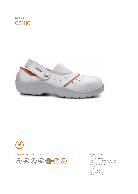





TOMAIA / CORTE . Sun ... .<br>Microfibra FODERA / FORRO SmellStop antiodore e antibatterica\* SmellStop antiolor y antibacteriano\* PUNTALE / PUNTERA Acciaio Acero SUOLA / SUELA Defaticante AirTech Antifatiga AirTech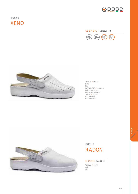

## B0551 **XENO**





#### TOMAIA / CORTE Pelle Piel SOTTOPIEDE / PALMILLA Pelle scamosciata Piel serraje afelpado SUOLA / SUELA Monodensità Monodensidad



#### B0553 RADON

#### OB E A SRC | Sizes: 35-48

TOMAIA / CORTE Pelle Piel